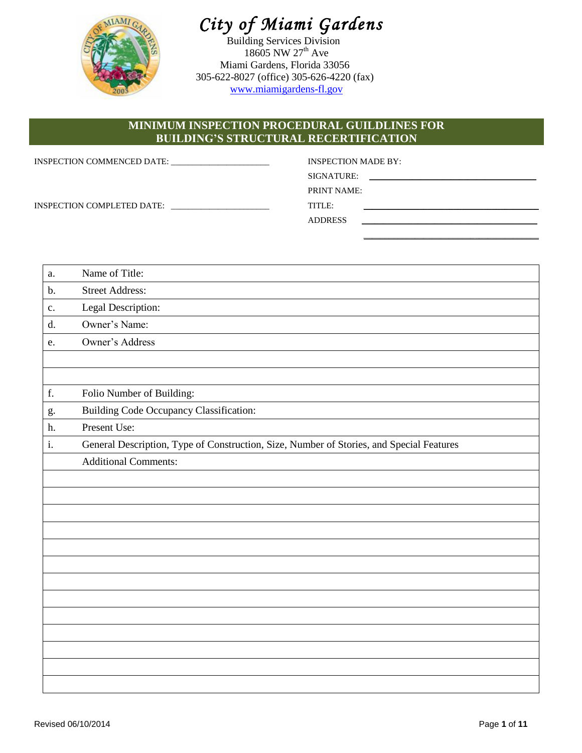

# *City of Miami Gardens*

Building Services Division 18605 NW 27<sup>th</sup> Ave Miami Gardens, Florida 33056 305-622-8027 (office) 305-626-4220 (fax) [www.miamigardens-fl.gov](http://www.miamigardens-fl.gov/)

# **MINIMUM INSPECTION PROCEDURAL GUILDLINES FOR BUILDING'S STRUCTURAL RECERTIFICATION**

| INSPECTION COMMENCED DATE:<br>the control of the control of the control of the control of the control of | INSPECTION MADE BY:                                                                                                                                                                                                                         |
|----------------------------------------------------------------------------------------------------------|---------------------------------------------------------------------------------------------------------------------------------------------------------------------------------------------------------------------------------------------|
|                                                                                                          | SIGNATURE:<br>the control of the control of the control of the control of the control of the control of the control of the control of the control of the control of the control of the control of the control of the control of the control |
|                                                                                                          | <b>PRINT NAME:</b>                                                                                                                                                                                                                          |
| INSPECTION COMPLETED DATE:                                                                               | TITLE:                                                                                                                                                                                                                                      |
|                                                                                                          | <b>ADDRESS</b>                                                                                                                                                                                                                              |

| a.           | Name of Title:                                                                           |
|--------------|------------------------------------------------------------------------------------------|
| b.           | <b>Street Address:</b>                                                                   |
| c.           | Legal Description:                                                                       |
| d.           | Owner's Name:                                                                            |
| e.           | Owner's Address                                                                          |
|              |                                                                                          |
|              |                                                                                          |
| $\mathbf f.$ | Folio Number of Building:                                                                |
| g.           | <b>Building Code Occupancy Classification:</b>                                           |
| h.           | Present Use:                                                                             |
| i.           | General Description, Type of Construction, Size, Number of Stories, and Special Features |
|              | <b>Additional Comments:</b>                                                              |
|              |                                                                                          |
|              |                                                                                          |
|              |                                                                                          |
|              |                                                                                          |
|              |                                                                                          |
|              |                                                                                          |
|              |                                                                                          |
|              |                                                                                          |
|              |                                                                                          |
|              |                                                                                          |
|              |                                                                                          |
|              |                                                                                          |
|              |                                                                                          |

\_\_\_\_\_\_\_\_\_\_\_\_\_\_\_\_\_\_\_\_\_\_\_\_\_\_\_\_\_\_\_\_\_\_\_\_\_\_\_\_\_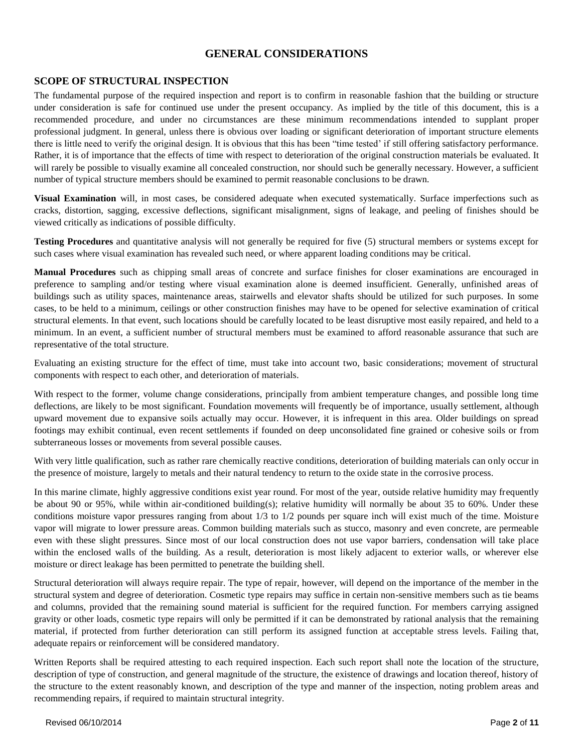## **GENERAL CONSIDERATIONS**

## **SCOPE OF STRUCTURAL INSPECTION**

The fundamental purpose of the required inspection and report is to confirm in reasonable fashion that the building or structure under consideration is safe for continued use under the present occupancy. As implied by the title of this document, this is a recommended procedure, and under no circumstances are these minimum recommendations intended to supplant proper professional judgment. In general, unless there is obvious over loading or significant deterioration of important structure elements there is little need to verify the original design. It is obvious that this has been "time tested' if still offering satisfactory performance. Rather, it is of importance that the effects of time with respect to deterioration of the original construction materials be evaluated. It will rarely be possible to visually examine all concealed construction, nor should such be generally necessary. However, a sufficient number of typical structure members should be examined to permit reasonable conclusions to be drawn.

**Visual Examination** will, in most cases, be considered adequate when executed systematically. Surface imperfections such as cracks, distortion, sagging, excessive deflections, significant misalignment, signs of leakage, and peeling of finishes should be viewed critically as indications of possible difficulty.

**Testing Procedures** and quantitative analysis will not generally be required for five (5) structural members or systems except for such cases where visual examination has revealed such need, or where apparent loading conditions may be critical.

**Manual Procedures** such as chipping small areas of concrete and surface finishes for closer examinations are encouraged in preference to sampling and/or testing where visual examination alone is deemed insufficient. Generally, unfinished areas of buildings such as utility spaces, maintenance areas, stairwells and elevator shafts should be utilized for such purposes. In some cases, to be held to a minimum, ceilings or other construction finishes may have to be opened for selective examination of critical structural elements. In that event, such locations should be carefully located to be least disruptive most easily repaired, and held to a minimum. In an event, a sufficient number of structural members must be examined to afford reasonable assurance that such are representative of the total structure.

Evaluating an existing structure for the effect of time, must take into account two, basic considerations; movement of structural components with respect to each other, and deterioration of materials.

With respect to the former, volume change considerations, principally from ambient temperature changes, and possible long time deflections, are likely to be most significant. Foundation movements will frequently be of importance, usually settlement, although upward movement due to expansive soils actually may occur. However, it is infrequent in this area. Older buildings on spread footings may exhibit continual, even recent settlements if founded on deep unconsolidated fine grained or cohesive soils or from subterraneous losses or movements from several possible causes.

With very little qualification, such as rather rare chemically reactive conditions, deterioration of building materials can only occur in the presence of moisture, largely to metals and their natural tendency to return to the oxide state in the corrosive process.

In this marine climate, highly aggressive conditions exist year round. For most of the year, outside relative humidity may frequently be about 90 or 95%, while within air-conditioned building(s); relative humidity will normally be about 35 to 60%. Under these conditions moisture vapor pressures ranging from about 1/3 to 1/2 pounds per square inch will exist much of the time. Moisture vapor will migrate to lower pressure areas. Common building materials such as stucco, masonry and even concrete, are permeable even with these slight pressures. Since most of our local construction does not use vapor barriers, condensation will take place within the enclosed walls of the building. As a result, deterioration is most likely adjacent to exterior walls, or wherever else moisture or direct leakage has been permitted to penetrate the building shell.

Structural deterioration will always require repair. The type of repair, however, will depend on the importance of the member in the structural system and degree of deterioration. Cosmetic type repairs may suffice in certain non-sensitive members such as tie beams and columns, provided that the remaining sound material is sufficient for the required function. For members carrying assigned gravity or other loads, cosmetic type repairs will only be permitted if it can be demonstrated by rational analysis that the remaining material, if protected from further deterioration can still perform its assigned function at acceptable stress levels. Failing that, adequate repairs or reinforcement will be considered mandatory.

Written Reports shall be required attesting to each required inspection. Each such report shall note the location of the structure, description of type of construction, and general magnitude of the structure, the existence of drawings and location thereof, history of the structure to the extent reasonably known, and description of the type and manner of the inspection, noting problem areas and recommending repairs, if required to maintain structural integrity.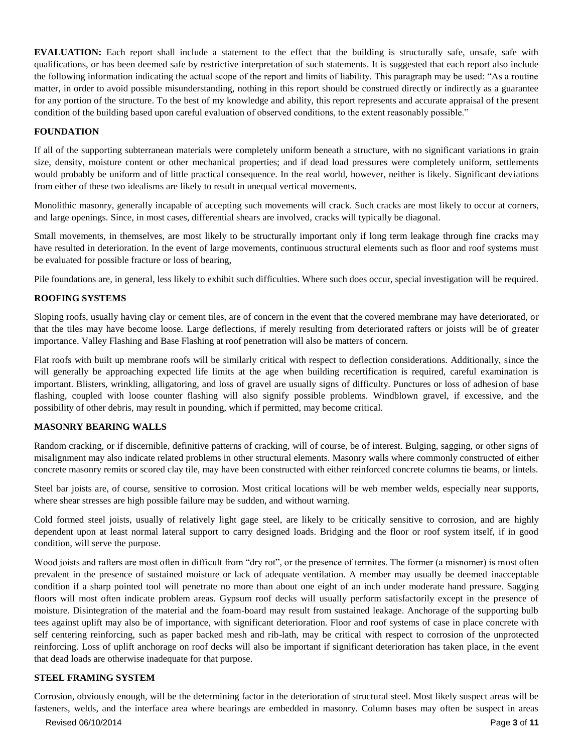**EVALUATION:** Each report shall include a statement to the effect that the building is structurally safe, unsafe, safe with qualifications, or has been deemed safe by restrictive interpretation of such statements. It is suggested that each report also include the following information indicating the actual scope of the report and limits of liability. This paragraph may be used: "As a routine matter, in order to avoid possible misunderstanding, nothing in this report should be construed directly or indirectly as a guarantee for any portion of the structure. To the best of my knowledge and ability, this report represents and accurate appraisal of the present condition of the building based upon careful evaluation of observed conditions, to the extent reasonably possible."

## **FOUNDATION**

If all of the supporting subterranean materials were completely uniform beneath a structure, with no significant variations in grain size, density, moisture content or other mechanical properties; and if dead load pressures were completely uniform, settlements would probably be uniform and of little practical consequence. In the real world, however, neither is likely. Significant deviations from either of these two idealisms are likely to result in unequal vertical movements.

Monolithic masonry, generally incapable of accepting such movements will crack. Such cracks are most likely to occur at corners, and large openings. Since, in most cases, differential shears are involved, cracks will typically be diagonal.

Small movements, in themselves, are most likely to be structurally important only if long term leakage through fine cracks may have resulted in deterioration. In the event of large movements, continuous structural elements such as floor and roof systems must be evaluated for possible fracture or loss of bearing,

Pile foundations are, in general, less likely to exhibit such difficulties. Where such does occur, special investigation will be required.

#### **ROOFING SYSTEMS**

Sloping roofs, usually having clay or cement tiles, are of concern in the event that the covered membrane may have deteriorated, or that the tiles may have become loose. Large deflections, if merely resulting from deteriorated rafters or joists will be of greater importance. Valley Flashing and Base Flashing at roof penetration will also be matters of concern.

Flat roofs with built up membrane roofs will be similarly critical with respect to deflection considerations. Additionally, since the will generally be approaching expected life limits at the age when building recertification is required, careful examination is important. Blisters, wrinkling, alligatoring, and loss of gravel are usually signs of difficulty. Punctures or loss of adhesion of base flashing, coupled with loose counter flashing will also signify possible problems. Windblown gravel, if excessive, and the possibility of other debris, may result in pounding, which if permitted, may become critical.

#### **MASONRY BEARING WALLS**

Random cracking, or if discernible, definitive patterns of cracking, will of course, be of interest. Bulging, sagging, or other signs of misalignment may also indicate related problems in other structural elements. Masonry walls where commonly constructed of either concrete masonry remits or scored clay tile, may have been constructed with either reinforced concrete columns tie beams, or lintels.

Steel bar joists are, of course, sensitive to corrosion. Most critical locations will be web member welds, especially near supports, where shear stresses are high possible failure may be sudden, and without warning.

Cold formed steel joists, usually of relatively light gage steel, are likely to be critically sensitive to corrosion, and are highly dependent upon at least normal lateral support to carry designed loads. Bridging and the floor or roof system itself, if in good condition, will serve the purpose.

Wood joists and rafters are most often in difficult from "dry rot", or the presence of termites. The former (a misnomer) is most often prevalent in the presence of sustained moisture or lack of adequate ventilation. A member may usually be deemed inacceptable condition if a sharp pointed tool will penetrate no more than about one eight of an inch under moderate hand pressure. Sagging floors will most often indicate problem areas. Gypsum roof decks will usually perform satisfactorily except in the presence of moisture. Disintegration of the material and the foam-board may result from sustained leakage. Anchorage of the supporting bulb tees against uplift may also be of importance, with significant deterioration. Floor and roof systems of case in place concrete with self centering reinforcing, such as paper backed mesh and rib-lath, may be critical with respect to corrosion of the unprotected reinforcing. Loss of uplift anchorage on roof decks will also be important if significant deterioration has taken place, in the event that dead loads are otherwise inadequate for that purpose.

#### **STEEL FRAMING SYSTEM**

Corrosion, obviously enough, will be the determining factor in the deterioration of structural steel. Most likely suspect areas will be fasteners, welds, and the interface area where bearings are embedded in masonry. Column bases may often be suspect in areas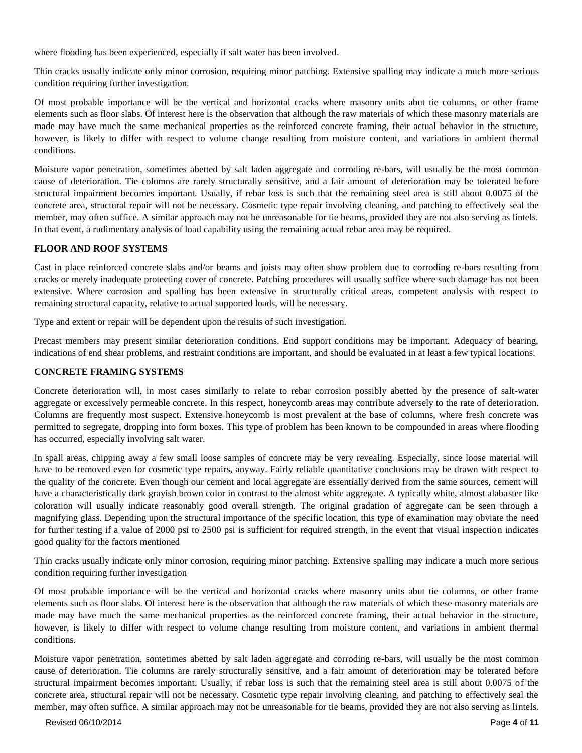where flooding has been experienced, especially if salt water has been involved.

Thin cracks usually indicate only minor corrosion, requiring minor patching. Extensive spalling may indicate a much more serious condition requiring further investigation.

Of most probable importance will be the vertical and horizontal cracks where masonry units abut tie columns, or other frame elements such as floor slabs. Of interest here is the observation that although the raw materials of which these masonry materials are made may have much the same mechanical properties as the reinforced concrete framing, their actual behavior in the structure, however, is likely to differ with respect to volume change resulting from moisture content, and variations in ambient thermal conditions.

Moisture vapor penetration, sometimes abetted by salt laden aggregate and corroding re-bars, will usually be the most common cause of deterioration. Tie columns are rarely structurally sensitive, and a fair amount of deterioration may be tolerated before structural impairment becomes important. Usually, if rebar loss is such that the remaining steel area is still about 0.0075 of the concrete area, structural repair will not be necessary. Cosmetic type repair involving cleaning, and patching to effectively seal the member, may often suffice. A similar approach may not be unreasonable for tie beams, provided they are not also serving as lintels. In that event, a rudimentary analysis of load capability using the remaining actual rebar area may be required.

#### **FLOOR AND ROOF SYSTEMS**

Cast in place reinforced concrete slabs and/or beams and joists may often show problem due to corroding re-bars resulting from cracks or merely inadequate protecting cover of concrete. Patching procedures will usually suffice where such damage has not been extensive. Where corrosion and spalling has been extensive in structurally critical areas, competent analysis with respect to remaining structural capacity, relative to actual supported loads, will be necessary.

Type and extent or repair will be dependent upon the results of such investigation.

Precast members may present similar deterioration conditions. End support conditions may be important. Adequacy of bearing, indications of end shear problems, and restraint conditions are important, and should be evaluated in at least a few typical locations.

#### **CONCRETE FRAMING SYSTEMS**

Concrete deterioration will, in most cases similarly to relate to rebar corrosion possibly abetted by the presence of salt-water aggregate or excessively permeable concrete. In this respect, honeycomb areas may contribute adversely to the rate of deterioration. Columns are frequently most suspect. Extensive honeycomb is most prevalent at the base of columns, where fresh concrete was permitted to segregate, dropping into form boxes. This type of problem has been known to be compounded in areas where flooding has occurred, especially involving salt water.

In spall areas, chipping away a few small loose samples of concrete may be very revealing. Especially, since loose material will have to be removed even for cosmetic type repairs, anyway. Fairly reliable quantitative conclusions may be drawn with respect to the quality of the concrete. Even though our cement and local aggregate are essentially derived from the same sources, cement will have a characteristically dark grayish brown color in contrast to the almost white aggregate. A typically white, almost alabaster like coloration will usually indicate reasonably good overall strength. The original gradation of aggregate can be seen through a magnifying glass. Depending upon the structural importance of the specific location, this type of examination may obviate the need for further testing if a value of 2000 psi to 2500 psi is sufficient for required strength, in the event that visual inspection indicates good quality for the factors mentioned

Thin cracks usually indicate only minor corrosion, requiring minor patching. Extensive spalling may indicate a much more serious condition requiring further investigation

Of most probable importance will be the vertical and horizontal cracks where masonry units abut tie columns, or other frame elements such as floor slabs. Of interest here is the observation that although the raw materials of which these masonry materials are made may have much the same mechanical properties as the reinforced concrete framing, their actual behavior in the structure, however, is likely to differ with respect to volume change resulting from moisture content, and variations in ambient thermal conditions.

Moisture vapor penetration, sometimes abetted by salt laden aggregate and corroding re-bars, will usually be the most common cause of deterioration. Tie columns are rarely structurally sensitive, and a fair amount of deterioration may be tolerated before structural impairment becomes important. Usually, if rebar loss is such that the remaining steel area is still about 0.0075 of the concrete area, structural repair will not be necessary. Cosmetic type repair involving cleaning, and patching to effectively seal the member, may often suffice. A similar approach may not be unreasonable for tie beams, provided they are not also serving as lintels.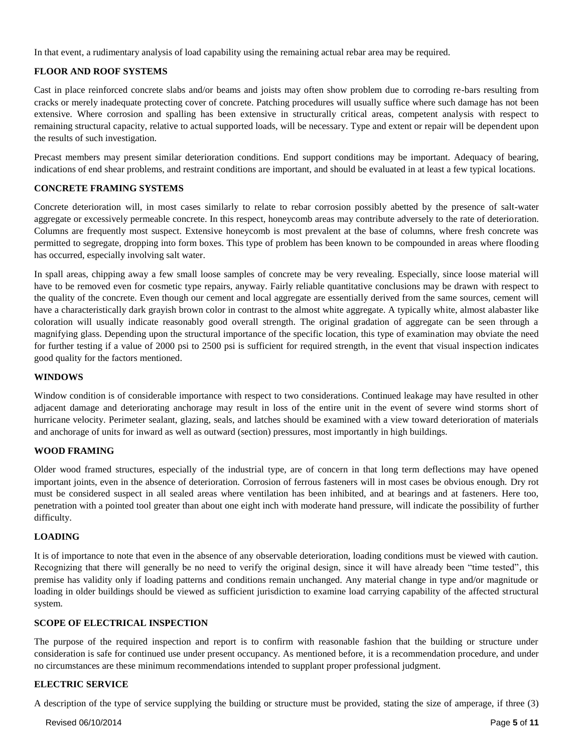In that event, a rudimentary analysis of load capability using the remaining actual rebar area may be required.

## **FLOOR AND ROOF SYSTEMS**

Cast in place reinforced concrete slabs and/or beams and joists may often show problem due to corroding re-bars resulting from cracks or merely inadequate protecting cover of concrete. Patching procedures will usually suffice where such damage has not been extensive. Where corrosion and spalling has been extensive in structurally critical areas, competent analysis with respect to remaining structural capacity, relative to actual supported loads, will be necessary. Type and extent or repair will be dependent upon the results of such investigation.

Precast members may present similar deterioration conditions. End support conditions may be important. Adequacy of bearing, indications of end shear problems, and restraint conditions are important, and should be evaluated in at least a few typical locations.

#### **CONCRETE FRAMING SYSTEMS**

Concrete deterioration will, in most cases similarly to relate to rebar corrosion possibly abetted by the presence of salt-water aggregate or excessively permeable concrete. In this respect, honeycomb areas may contribute adversely to the rate of deterioration. Columns are frequently most suspect. Extensive honeycomb is most prevalent at the base of columns, where fresh concrete was permitted to segregate, dropping into form boxes. This type of problem has been known to be compounded in areas where flooding has occurred, especially involving salt water.

In spall areas, chipping away a few small loose samples of concrete may be very revealing. Especially, since loose material will have to be removed even for cosmetic type repairs, anyway. Fairly reliable quantitative conclusions may be drawn with respect to the quality of the concrete. Even though our cement and local aggregate are essentially derived from the same sources, cement will have a characteristically dark grayish brown color in contrast to the almost white aggregate. A typically white, almost alabaster like coloration will usually indicate reasonably good overall strength. The original gradation of aggregate can be seen through a magnifying glass. Depending upon the structural importance of the specific location, this type of examination may obviate the need for further testing if a value of 2000 psi to 2500 psi is sufficient for required strength, in the event that visual inspection indicates good quality for the factors mentioned.

#### **WINDOWS**

Window condition is of considerable importance with respect to two considerations. Continued leakage may have resulted in other adjacent damage and deteriorating anchorage may result in loss of the entire unit in the event of severe wind storms short of hurricane velocity. Perimeter sealant, glazing, seals, and latches should be examined with a view toward deterioration of materials and anchorage of units for inward as well as outward (section) pressures, most importantly in high buildings.

#### **WOOD FRAMING**

Older wood framed structures, especially of the industrial type, are of concern in that long term deflections may have opened important joints, even in the absence of deterioration. Corrosion of ferrous fasteners will in most cases be obvious enough. Dry rot must be considered suspect in all sealed areas where ventilation has been inhibited, and at bearings and at fasteners. Here too, penetration with a pointed tool greater than about one eight inch with moderate hand pressure, will indicate the possibility of further difficulty.

#### **LOADING**

It is of importance to note that even in the absence of any observable deterioration, loading conditions must be viewed with caution. Recognizing that there will generally be no need to verify the original design, since it will have already been "time tested", this premise has validity only if loading patterns and conditions remain unchanged. Any material change in type and/or magnitude or loading in older buildings should be viewed as sufficient jurisdiction to examine load carrying capability of the affected structural system.

#### **SCOPE OF ELECTRICAL INSPECTION**

The purpose of the required inspection and report is to confirm with reasonable fashion that the building or structure under consideration is safe for continued use under present occupancy. As mentioned before, it is a recommendation procedure, and under no circumstances are these minimum recommendations intended to supplant proper professional judgment.

#### **ELECTRIC SERVICE**

A description of the type of service supplying the building or structure must be provided, stating the size of amperage, if three (3)

Revised 06/10/2014 Page **5** of **11**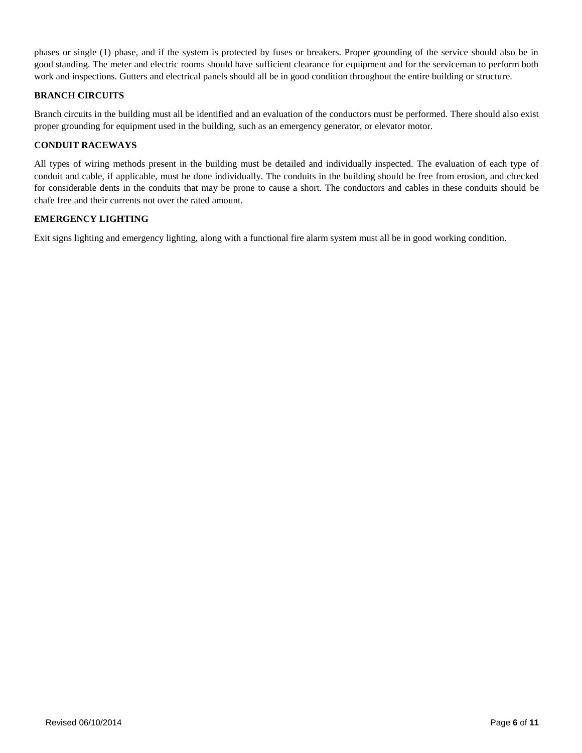phases or single (1) phase, and if the system is protected by fuses or breakers. Proper grounding of the service should also be in good standing. The meter and electric rooms should have sufficient clearance for equipment and for the serviceman to perform both work and inspections. Gutters and electrical panels should all be in good condition throughout the entire building or structure.

## **BRANCH CIRCUITS**

Branch circuits in the building must all be identified and an evaluation of the conductors must be performed. There should also exist proper grounding for equipment used in the building, such as an emergency generator, or elevator motor.

## **CONDUIT RACEWAYS**

All types of wiring methods present in the building must be detailed and individually inspected. The evaluation of each type of conduit and cable, if applicable, must be done individually. The conduits in the building should be free from erosion, and checked for considerable dents in the conduits that may be prone to cause a short. The conductors and cables in these conduits should be chafe free and their currents not over the rated amount.

## **EMERGENCY LIGHTING**

Exit signs lighting and emergency lighting, along with a functional fire alarm system must all be in good working condition.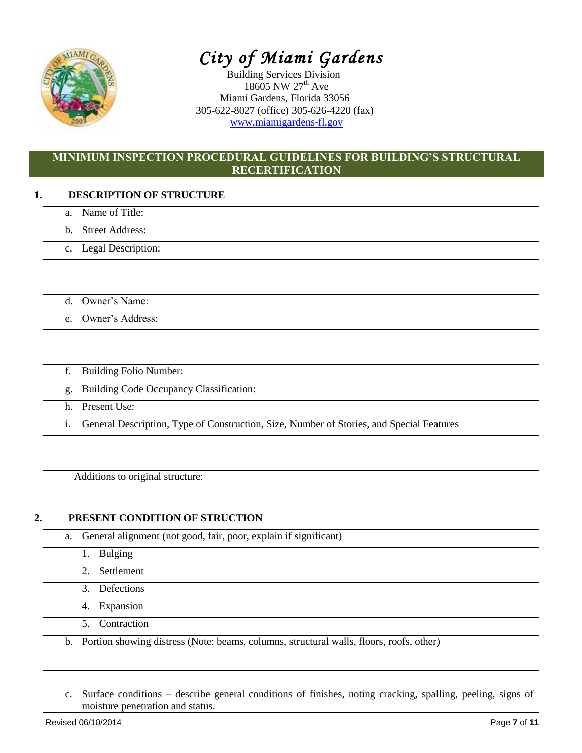

# *City of Miami Gardens*

Building Services Division 18605 NW 27<sup>th</sup> Ave Miami Gardens, Florida 33056 305-622-8027 (office) 305-626-4220 (fax) [www.miamigardens-fl.gov](http://www.miamigardens-fl.gov/)

# **MINIMUM INSPECTION PROCEDURAL GUIDELINES FOR BUILDING'S STRUCTURAL RECERTIFICATION**

# **1. DESCRIPTION OF STRUCTURE**

| a.             | Name of Title:                                                                           |
|----------------|------------------------------------------------------------------------------------------|
| b.             | <b>Street Address:</b>                                                                   |
| $\mathbf{c}$ . | Legal Description:                                                                       |
|                |                                                                                          |
|                |                                                                                          |
| $d_{\cdot}$    | Owner's Name:                                                                            |
| e.             | Owner's Address:                                                                         |
|                |                                                                                          |
|                |                                                                                          |
| f.             | <b>Building Folio Number:</b>                                                            |
| g.             | Building Code Occupancy Classification:                                                  |
| h.             | Present Use:                                                                             |
| i.             | General Description, Type of Construction, Size, Number of Stories, and Special Features |
|                |                                                                                          |
|                |                                                                                          |
|                | Additions to original structure:                                                         |

# **2. PRESENT CONDITION OF STRUCTION**

| a.             | General alignment (not good, fair, poor, explain if significant)                                                                               |
|----------------|------------------------------------------------------------------------------------------------------------------------------------------------|
|                | Bulging<br>1.                                                                                                                                  |
|                | 2. Settlement                                                                                                                                  |
|                | 3. Defections                                                                                                                                  |
|                | 4. Expansion                                                                                                                                   |
|                | Contraction<br>5.                                                                                                                              |
|                | b. Portion showing distress (Note: beams, columns, structural walls, floors, roofs, other)                                                     |
|                |                                                                                                                                                |
|                |                                                                                                                                                |
| $\mathbf{c}$ . | Surface conditions – describe general conditions of finishes, noting cracking, spalling, peeling, signs of<br>moisture penetration and status. |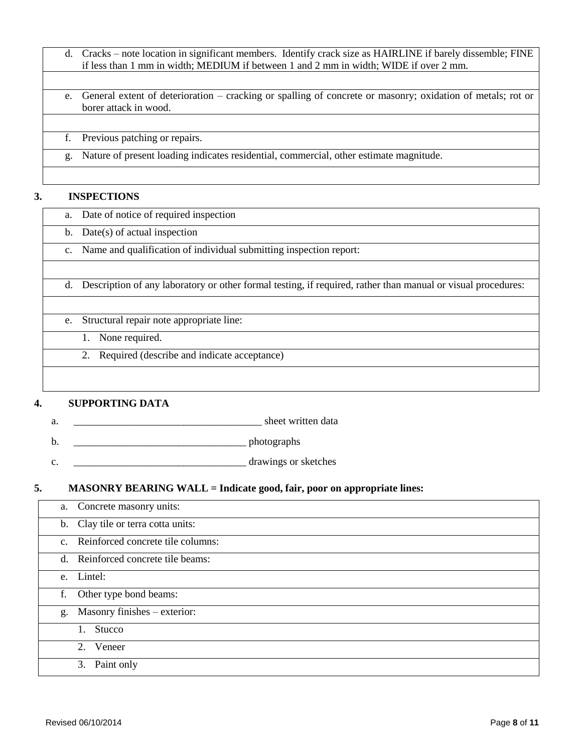- d. Cracks note location in significant members. Identify crack size as HAIRLINE if barely dissemble; FINE if less than 1 mm in width; MEDIUM if between 1 and 2 mm in width; WIDE if over 2 mm.
- e. General extent of deterioration cracking or spalling of concrete or masonry; oxidation of metals; rot or borer attack in wood.

|  | f. Previous patching or repairs.                                                          |
|--|-------------------------------------------------------------------------------------------|
|  | g. Nature of present loading indicates residential, commercial, other estimate magnitude. |
|  |                                                                                           |

# **3. INSPECTIONS**

| a.            | Date of notice of required inspection                                                                        |
|---------------|--------------------------------------------------------------------------------------------------------------|
| $\mathbf b$ . | $Date(s)$ of actual inspection                                                                               |
| c.            | Name and qualification of individual submitting inspection report:                                           |
|               |                                                                                                              |
| d.            | Description of any laboratory or other formal testing, if required, rather than manual or visual procedures: |
|               |                                                                                                              |
| e.            | Structural repair note appropriate line:                                                                     |
|               | None required.                                                                                               |
|               | Required (describe and indicate acceptance)                                                                  |
|               |                                                                                                              |
|               |                                                                                                              |

# **4. SUPPORTING DATA**

- a.  $\Box$
- b. \_\_\_\_\_\_\_\_\_\_\_\_\_\_\_\_\_\_\_\_\_\_\_\_\_\_\_\_\_\_\_\_\_ photographs
- c. \_\_\_\_\_\_\_\_\_\_\_\_\_\_\_\_\_\_\_\_\_\_\_\_\_\_\_\_\_\_\_\_\_ drawings or sketches
- **5. MASONRY BEARING WALL = Indicate good, fair, poor on appropriate lines:**

|    | a. Concrete masonry units:           |
|----|--------------------------------------|
|    | b. Clay tile or terra cotta units:   |
|    | c. Reinforced concrete tile columns: |
|    | d. Reinforced concrete tile beams:   |
|    | e. Lintel:                           |
| f. | Other type bond beams:               |
|    | g. Masonry finishes - exterior:      |
|    | Stucco<br>$1_{-}$                    |
|    | 2. Veneer                            |
|    | 3. Paint only                        |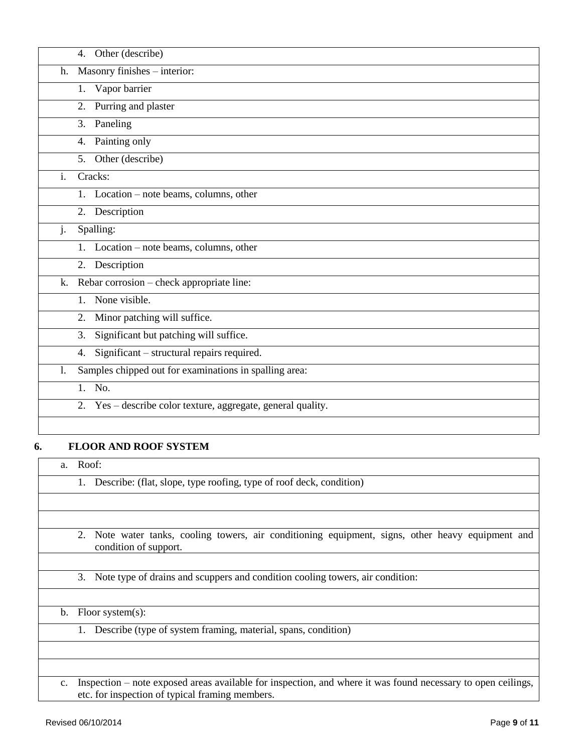|                | Other (describe)<br>4.                                          |
|----------------|-----------------------------------------------------------------|
| h.             | Masonry finishes - interior:                                    |
|                | Vapor barrier<br>1.                                             |
|                | Purring and plaster<br>2.                                       |
|                | Paneling<br>3.                                                  |
|                | Painting only<br>4.                                             |
|                | Other (describe)<br>5.                                          |
| $\mathbf{i}$ . | Cracks:                                                         |
|                | 1. Location – note beams, columns, other                        |
|                | 2. Description                                                  |
| j.             | Spalling:                                                       |
|                | Location – note beams, columns, other<br>$1_{\cdot}$            |
|                | 2.<br>Description                                               |
| k.             | Rebar corrosion – check appropriate line:                       |
|                | None visible.<br>1.                                             |
|                | Minor patching will suffice.<br>2.                              |
|                | Significant but patching will suffice.<br>3.                    |
|                | Significant - structural repairs required.<br>4.                |
| 1.             | Samples chipped out for examinations in spalling area:          |
|                | 1. No.                                                          |
|                | Yes - describe color texture, aggregate, general quality.<br>2. |
|                |                                                                 |

# **6. FLOOR AND ROOF SYSTEM**

| a.             | Roof:                                                                                                                                                           |
|----------------|-----------------------------------------------------------------------------------------------------------------------------------------------------------------|
|                | Describe: (flat, slope, type roofing, type of roof deck, condition)<br>1.                                                                                       |
|                |                                                                                                                                                                 |
|                |                                                                                                                                                                 |
|                | Note water tanks, cooling towers, air conditioning equipment, signs, other heavy equipment and<br>2.<br>condition of support.                                   |
|                |                                                                                                                                                                 |
|                | Note type of drains and scuppers and condition cooling towers, air condition:<br>3.                                                                             |
|                |                                                                                                                                                                 |
| $\mathbf{b}$ . | Floor system $(s)$ :                                                                                                                                            |
|                | Describe (type of system framing, material, spans, condition)<br>1.                                                                                             |
|                |                                                                                                                                                                 |
|                |                                                                                                                                                                 |
| $c_{\cdot}$    | Inspection – note exposed areas available for inspection, and where it was found necessary to open ceilings,<br>etc. for inspection of typical framing members. |

 $\mathbf{L}$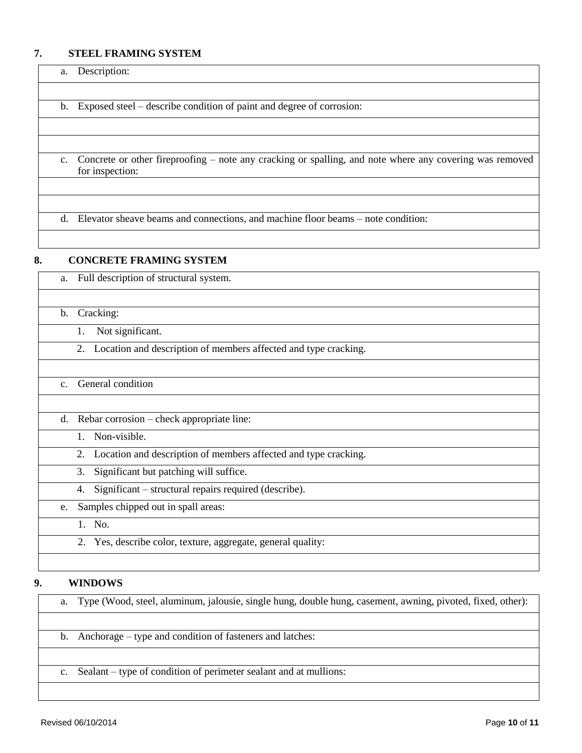# **7. STEEL FRAMING SYSTEM**

| a. | Description:                                                                                                               |
|----|----------------------------------------------------------------------------------------------------------------------------|
|    |                                                                                                                            |
|    | b. Exposed steel – describe condition of paint and degree of corrosion:                                                    |
|    |                                                                                                                            |
|    |                                                                                                                            |
| c. | Concrete or other fireproofing – note any cracking or spalling, and note where any covering was removed<br>for inspection: |
|    |                                                                                                                            |
|    |                                                                                                                            |
| d. | Elevator sheave beams and connections, and machine floor beams – note condition:                                           |

## **8. CONCRETE FRAMING SYSTEM**

| a.             | Full description of structural system.                                |
|----------------|-----------------------------------------------------------------------|
|                |                                                                       |
| $\mathbf b$ .  | Cracking:                                                             |
|                | Not significant.<br>1.                                                |
|                | Location and description of members affected and type cracking.<br>2. |
|                |                                                                       |
| C <sub>1</sub> | General condition                                                     |
|                |                                                                       |
| d.             | Rebar corrosion – check appropriate line:                             |
|                | Non-visible.<br>$1_{-}$                                               |
|                | Location and description of members affected and type cracking.<br>2. |
|                | Significant but patching will suffice.<br>3.                          |
|                | Significant – structural repairs required (describe).<br>4.           |
| e.             | Samples chipped out in spall areas:                                   |
|                | 1. No.                                                                |
|                | Yes, describe color, texture, aggregate, general quality:<br>2.       |
|                |                                                                       |

# **9. WINDOWS**

| a. Type (Wood, steel, aluminum, jalousie, single hung, double hung, casement, awning, pivoted, fixed, other): |  |
|---------------------------------------------------------------------------------------------------------------|--|
|---------------------------------------------------------------------------------------------------------------|--|

- b. Anchorage type and condition of fasteners and latches:
- c. Sealant type of condition of perimeter sealant and at mullions: